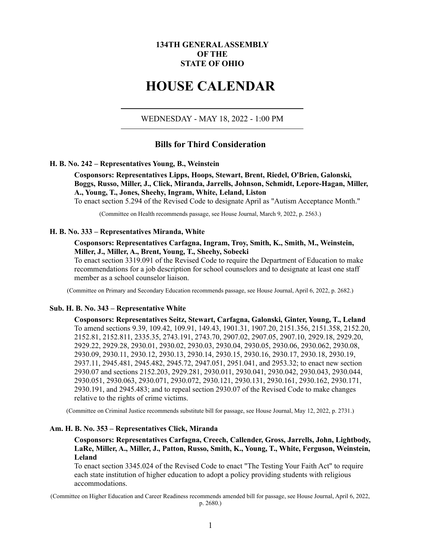# **134TH GENERAL ASSEMBLY OF THE STATE OF OHIO**

# **HOUSE CALENDAR**

WEDNESDAY - MAY 18, 2022 - 1:00 PM

# **Bills for Third Consideration**

#### **H. B. No. 242 – Representatives Young, B., Weinstein**

**Cosponsors: Representatives Lipps, Hoops, Stewart, Brent, Riedel, O'Brien, Galonski, Boggs, Russo, Miller, J., Click, Miranda, Jarrells, Johnson, Schmidt, Lepore-Hagan, Miller, A., Young, T., Jones, Sheehy, Ingram, White, Leland, Liston**

To enact section 5.294 of the Revised Code to designate April as "Autism Acceptance Month."

(Committee on Health recommends passage, see House Journal, March 9, 2022, p. 2563.)

#### **H. B. No. 333 – Representatives Miranda, White**

## **Cosponsors: Representatives Carfagna, Ingram, Troy, Smith, K., Smith, M., Weinstein, Miller, J., Miller, A., Brent, Young, T., Sheehy, Sobecki**

To enact section 3319.091 of the Revised Code to require the Department of Education to make recommendations for a job description for school counselors and to designate at least one staff member as a school counselor liaison.

(Committee on Primary and Secondary Education recommends passage, see House Journal, April 6, 2022, p. 2682.)

#### **Sub. H. B. No. 343 – Representative White**

**Cosponsors: Representatives Seitz, Stewart, Carfagna, Galonski, Ginter, Young, T., Leland** To amend sections 9.39, 109.42, 109.91, 149.43, 1901.31, 1907.20, 2151.356, 2151.358, 2152.20, 2152.81, 2152.811, 2335.35, 2743.191, 2743.70, 2907.02, 2907.05, 2907.10, 2929.18, 2929.20, 2929.22, 2929.28, 2930.01, 2930.02, 2930.03, 2930.04, 2930.05, 2930.06, 2930.062, 2930.08, 2930.09, 2930.11, 2930.12, 2930.13, 2930.14, 2930.15, 2930.16, 2930.17, 2930.18, 2930.19, 2937.11, 2945.481, 2945.482, 2945.72, 2947.051, 2951.041, and 2953.32; to enact new section 2930.07 and sections 2152.203, 2929.281, 2930.011, 2930.041, 2930.042, 2930.043, 2930.044, 2930.051, 2930.063, 2930.071, 2930.072, 2930.121, 2930.131, 2930.161, 2930.162, 2930.171, 2930.191, and 2945.483; and to repeal section 2930.07 of the Revised Code to make changes relative to the rights of crime victims.

(Committee on Criminal Justice recommends substitute bill for passage, see House Journal, May 12, 2022, p. 2731.)

## **Am. H. B. No. 353 – Representatives Click, Miranda**

# **Cosponsors: Representatives Carfagna, Creech, Callender, Gross, Jarrells, John, Lightbody, LaRe, Miller, A., Miller, J., Patton, Russo, Smith, K., Young, T., White, Ferguson, Weinstein, Leland**

To enact section 3345.024 of the Revised Code to enact "The Testing Your Faith Act" to require each state institution of higher education to adopt a policy providing students with religious accommodations.

(Committee on Higher Education and Career Readiness recommends amended bill for passage, see House Journal, April 6, 2022,

p. 2680.)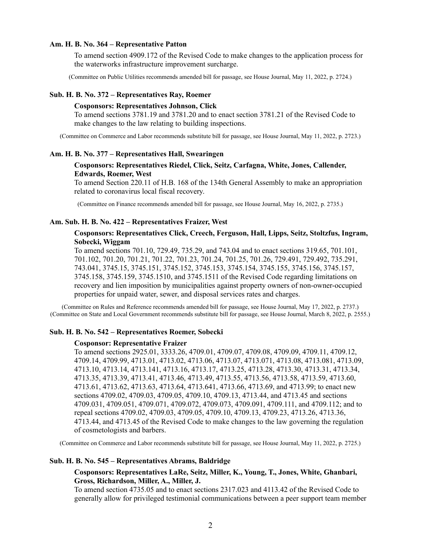#### **Am. H. B. No. 364 – Representative Patton**

To amend section 4909.172 of the Revised Code to make changes to the application process for the waterworks infrastructure improvement surcharge.

(Committee on Public Utilities recommends amended bill for passage, see House Journal, May 11, 2022, p. 2724.)

## **Sub. H. B. No. 372 – Representatives Ray, Roemer**

## **Cosponsors: Representatives Johnson, Click**

To amend sections 3781.19 and 3781.20 and to enact section 3781.21 of the Revised Code to make changes to the law relating to building inspections.

(Committee on Commerce and Labor recommends substitute bill for passage, see House Journal, May 11, 2022, p. 2723.)

#### **Am. H. B. No. 377 – Representatives Hall, Swearingen**

## **Cosponsors: Representatives Riedel, Click, Seitz, Carfagna, White, Jones, Callender, Edwards, Roemer, West**

To amend Section 220.11 of H.B. 168 of the 134th General Assembly to make an appropriation related to coronavirus local fiscal recovery.

(Committee on Finance recommends amended bill for passage, see House Journal, May 16, 2022, p. 2735.)

#### **Am. Sub. H. B. No. 422 – Representatives Fraizer, West**

## **Cosponsors: Representatives Click, Creech, Ferguson, Hall, Lipps, Seitz, Stoltzfus, Ingram, Sobecki, Wiggam**

To amend sections 701.10, 729.49, 735.29, and 743.04 and to enact sections 319.65, 701.101, 701.102, 701.20, 701.21, 701.22, 701.23, 701.24, 701.25, 701.26, 729.491, 729.492, 735.291, 743.041, 3745.15, 3745.151, 3745.152, 3745.153, 3745.154, 3745.155, 3745.156, 3745.157, 3745.158, 3745.159, 3745.1510, and 3745.1511 of the Revised Code regarding limitations on recovery and lien imposition by municipalities against property owners of non-owner-occupied properties for unpaid water, sewer, and disposal services rates and charges.

(Committee on Rules and Reference recommends amended bill for passage, see House Journal, May 17, 2022, p. 2737.) (Committee on State and Local Government recommends substitute bill for passage, see House Journal, March 8, 2022, p. 2555.)

#### **Sub. H. B. No. 542 – Representatives Roemer, Sobecki**

#### **Cosponsor: Representative Fraizer**

To amend sections 2925.01, 3333.26, 4709.01, 4709.07, 4709.08, 4709.09, 4709.11, 4709.12, 4709.14, 4709.99, 4713.01, 4713.02, 4713.06, 4713.07, 4713.071, 4713.08, 4713.081, 4713.09, 4713.10, 4713.14, 4713.141, 4713.16, 4713.17, 4713.25, 4713.28, 4713.30, 4713.31, 4713.34, 4713.35, 4713.39, 4713.41, 4713.46, 4713.49, 4713.55, 4713.56, 4713.58, 4713.59, 4713.60, 4713.61, 4713.62, 4713.63, 4713.64, 4713.641, 4713.66, 4713.69, and 4713.99; to enact new sections 4709.02, 4709.03, 4709.05, 4709.10, 4709.13, 4713.44, and 4713.45 and sections 4709.031, 4709.051, 4709.071, 4709.072, 4709.073, 4709.091, 4709.111, and 4709.112; and to repeal sections 4709.02, 4709.03, 4709.05, 4709.10, 4709.13, 4709.23, 4713.26, 4713.36, 4713.44, and 4713.45 of the Revised Code to make changes to the law governing the regulation of cosmetologists and barbers.

(Committee on Commerce and Labor recommends substitute bill for passage, see House Journal, May 11, 2022, p. 2725.)

#### **Sub. H. B. No. 545 – Representatives Abrams, Baldridge**

### **Cosponsors: Representatives LaRe, Seitz, Miller, K., Young, T., Jones, White, Ghanbari, Gross, Richardson, Miller, A., Miller, J.**

To amend section 4735.05 and to enact sections 2317.023 and 4113.42 of the Revised Code to generally allow for privileged testimonial communications between a peer support team member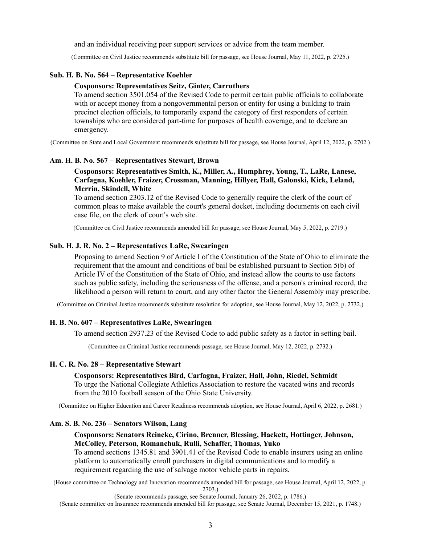and an individual receiving peer support services or advice from the team member.

(Committee on Civil Justice recommends substitute bill for passage, see House Journal, May 11, 2022, p. 2725.)

## **Sub. H. B. No. 564 – Representative Koehler**

## **Cosponsors: Representatives Seitz, Ginter, Carruthers**

To amend section 3501.054 of the Revised Code to permit certain public officials to collaborate with or accept money from a nongovernmental person or entity for using a building to train precinct election officials, to temporarily expand the category of first responders of certain townships who are considered part-time for purposes of health coverage, and to declare an emergency.

(Committee on State and Local Government recommends substitute bill for passage, see House Journal, April 12, 2022, p. 2702.)

## **Am. H. B. No. 567 – Representatives Stewart, Brown**

# **Cosponsors: Representatives Smith, K., Miller, A., Humphrey, Young, T., LaRe, Lanese, Carfagna, Koehler, Fraizer, Crossman, Manning, Hillyer, Hall, Galonski, Kick, Leland, Merrin, Skindell, White**

To amend section 2303.12 of the Revised Code to generally require the clerk of the court of common pleas to make available the court's general docket, including documents on each civil case file, on the clerk of court's web site.

(Committee on Civil Justice recommends amended bill for passage, see House Journal, May 5, 2022, p. 2719.)

## **Sub. H. J. R. No. 2 – Representatives LaRe, Swearingen**

Proposing to amend Section 9 of Article I of the Constitution of the State of Ohio to eliminate the requirement that the amount and conditions of bail be established pursuant to Section 5(b) of Article IV of the Constitution of the State of Ohio, and instead allow the courts to use factors such as public safety, including the seriousness of the offense, and a person's criminal record, the likelihood a person will return to court, and any other factor the General Assembly may prescribe.

(Committee on Criminal Justice recommends substitute resolution for adoption, see House Journal, May 12, 2022, p. 2732.)

# **H. B. No. 607 – Representatives LaRe, Swearingen**

To amend section 2937.23 of the Revised Code to add public safety as a factor in setting bail.

(Committee on Criminal Justice recommends passage, see House Journal, May 12, 2022, p. 2732.)

## **H. C. R. No. 28 – Representative Stewart**

# **Cosponsors: Representatives Bird, Carfagna, Fraizer, Hall, John, Riedel, Schmidt**

To urge the National Collegiate Athletics Association to restore the vacated wins and records from the 2010 football season of the Ohio State University.

(Committee on Higher Education and Career Readiness recommends adoption, see House Journal, April 6, 2022, p. 2681.)

## **Am. S. B. No. 236 – Senators Wilson, Lang**

## **Cosponsors: Senators Reineke, Cirino, Brenner, Blessing, Hackett, Hottinger, Johnson, McColley, Peterson, Romanchuk, Rulli, Schaffer, Thomas, Yuko**

To amend sections 1345.81 and 3901.41 of the Revised Code to enable insurers using an online platform to automatically enroll purchasers in digital communications and to modify a requirement regarding the use of salvage motor vehicle parts in repairs.

(House committee on Technology and Innovation recommends amended bill for passage, see House Journal, April 12, 2022, p. 2703.)

(Senate recommends passage, see Senate Journal, January 26, 2022, p. 1786.)

(Senate committee on Insurance recommends amended bill for passage, see Senate Journal, December 15, 2021, p. 1748.)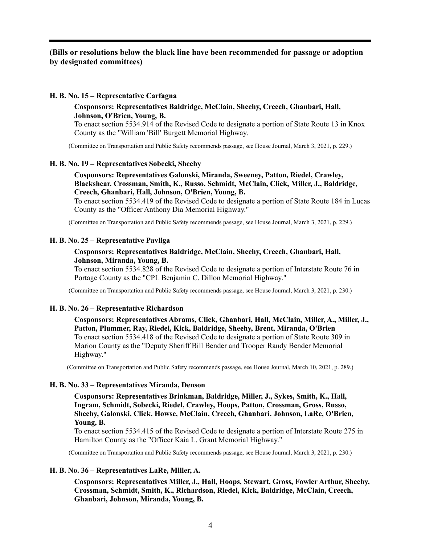# **(Bills or resolutions below the black line have been recommended for passage or adoption by designated committees)**

## **H. B. No. 15 – Representative Carfagna**

## **Cosponsors: Representatives Baldridge, McClain, Sheehy, Creech, Ghanbari, Hall, Johnson, O'Brien, Young, B.**

To enact section 5534.914 of the Revised Code to designate a portion of State Route 13 in Knox County as the "William 'Bill' Burgett Memorial Highway.

(Committee on Transportation and Public Safety recommends passage, see House Journal, March 3, 2021, p. 229.)

## **H. B. No. 19 – Representatives Sobecki, Sheehy**

**Cosponsors: Representatives Galonski, Miranda, Sweeney, Patton, Riedel, Crawley, Blackshear, Crossman, Smith, K., Russo, Schmidt, McClain, Click, Miller, J., Baldridge, Creech, Ghanbari, Hall, Johnson, O'Brien, Young, B.**

To enact section 5534.419 of the Revised Code to designate a portion of State Route 184 in Lucas County as the "Officer Anthony Dia Memorial Highway."

(Committee on Transportation and Public Safety recommends passage, see House Journal, March 3, 2021, p. 229.)

## **H. B. No. 25 – Representative Pavliga**

## **Cosponsors: Representatives Baldridge, McClain, Sheehy, Creech, Ghanbari, Hall, Johnson, Miranda, Young, B.**

To enact section 5534.828 of the Revised Code to designate a portion of Interstate Route 76 in Portage County as the "CPL Benjamin C. Dillon Memorial Highway."

(Committee on Transportation and Public Safety recommends passage, see House Journal, March 3, 2021, p. 230.)

## **H. B. No. 26 – Representative Richardson**

**Cosponsors: Representatives Abrams, Click, Ghanbari, Hall, McClain, Miller, A., Miller, J., Patton, Plummer, Ray, Riedel, Kick, Baldridge, Sheehy, Brent, Miranda, O'Brien** To enact section 5534.418 of the Revised Code to designate a portion of State Route 309 in Marion County as the "Deputy Sheriff Bill Bender and Trooper Randy Bender Memorial Highway."

(Committee on Transportation and Public Safety recommends passage, see House Journal, March 10, 2021, p. 289.)

## **H. B. No. 33 – Representatives Miranda, Denson**

**Cosponsors: Representatives Brinkman, Baldridge, Miller, J., Sykes, Smith, K., Hall, Ingram, Schmidt, Sobecki, Riedel, Crawley, Hoops, Patton, Crossman, Gross, Russo, Sheehy, Galonski, Click, Howse, McClain, Creech, Ghanbari, Johnson, LaRe, O'Brien, Young, B.**

To enact section 5534.415 of the Revised Code to designate a portion of Interstate Route 275 in Hamilton County as the "Officer Kaia L. Grant Memorial Highway."

(Committee on Transportation and Public Safety recommends passage, see House Journal, March 3, 2021, p. 230.)

## **H. B. No. 36 – Representatives LaRe, Miller, A.**

**Cosponsors: Representatives Miller, J., Hall, Hoops, Stewart, Gross, Fowler Arthur, Sheehy, Crossman, Schmidt, Smith, K., Richardson, Riedel, Kick, Baldridge, McClain, Creech, Ghanbari, Johnson, Miranda, Young, B.**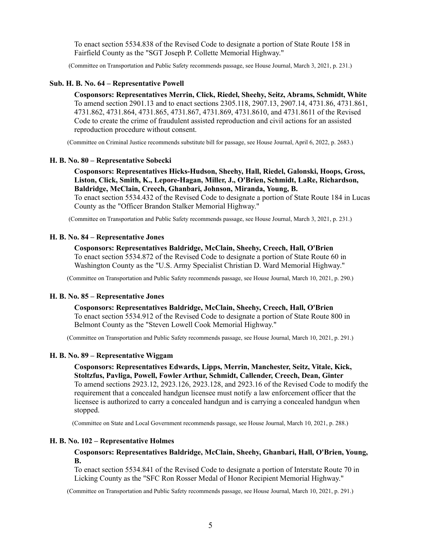To enact section 5534.838 of the Revised Code to designate a portion of State Route 158 in Fairfield County as the "SGT Joseph P. Collette Memorial Highway."

(Committee on Transportation and Public Safety recommends passage, see House Journal, March 3, 2021, p. 231.)

#### **Sub. H. B. No. 64 – Representative Powell**

**Cosponsors: Representatives Merrin, Click, Riedel, Sheehy, Seitz, Abrams, Schmidt, White** To amend section 2901.13 and to enact sections 2305.118, 2907.13, 2907.14, 4731.86, 4731.861, 4731.862, 4731.864, 4731.865, 4731.867, 4731.869, 4731.8610, and 4731.8611 of the Revised Code to create the crime of fraudulent assisted reproduction and civil actions for an assisted reproduction procedure without consent.

(Committee on Criminal Justice recommends substitute bill for passage, see House Journal, April 6, 2022, p. 2683.)

#### **H. B. No. 80 – Representative Sobecki**

**Cosponsors: Representatives Hicks-Hudson, Sheehy, Hall, Riedel, Galonski, Hoops, Gross, Liston, Click, Smith, K., Lepore-Hagan, Miller, J., O'Brien, Schmidt, LaRe, Richardson, Baldridge, McClain, Creech, Ghanbari, Johnson, Miranda, Young, B.**

To enact section 5534.432 of the Revised Code to designate a portion of State Route 184 in Lucas County as the "Officer Brandon Stalker Memorial Highway."

(Committee on Transportation and Public Safety recommends passage, see House Journal, March 3, 2021, p. 231.)

#### **H. B. No. 84 – Representative Jones**

#### **Cosponsors: Representatives Baldridge, McClain, Sheehy, Creech, Hall, O'Brien**

To enact section 5534.872 of the Revised Code to designate a portion of State Route 60 in Washington County as the "U.S. Army Specialist Christian D. Ward Memorial Highway."

(Committee on Transportation and Public Safety recommends passage, see House Journal, March 10, 2021, p. 290.)

#### **H. B. No. 85 – Representative Jones**

**Cosponsors: Representatives Baldridge, McClain, Sheehy, Creech, Hall, O'Brien** To enact section 5534.912 of the Revised Code to designate a portion of State Route 800 in Belmont County as the "Steven Lowell Cook Memorial Highway."

(Committee on Transportation and Public Safety recommends passage, see House Journal, March 10, 2021, p. 291.)

#### **H. B. No. 89 – Representative Wiggam**

**Cosponsors: Representatives Edwards, Lipps, Merrin, Manchester, Seitz, Vitale, Kick, Stoltzfus, Pavliga, Powell, Fowler Arthur, Schmidt, Callender, Creech, Dean, Ginter** To amend sections 2923.12, 2923.126, 2923.128, and 2923.16 of the Revised Code to modify the requirement that a concealed handgun licensee must notify a law enforcement officer that the licensee is authorized to carry a concealed handgun and is carrying a concealed handgun when stopped.

(Committee on State and Local Government recommends passage, see House Journal, March 10, 2021, p. 288.)

#### **H. B. No. 102 – Representative Holmes**

## **Cosponsors: Representatives Baldridge, McClain, Sheehy, Ghanbari, Hall, O'Brien, Young, B.**

To enact section 5534.841 of the Revised Code to designate a portion of Interstate Route 70 in Licking County as the "SFC Ron Rosser Medal of Honor Recipient Memorial Highway."

(Committee on Transportation and Public Safety recommends passage, see House Journal, March 10, 2021, p. 291.)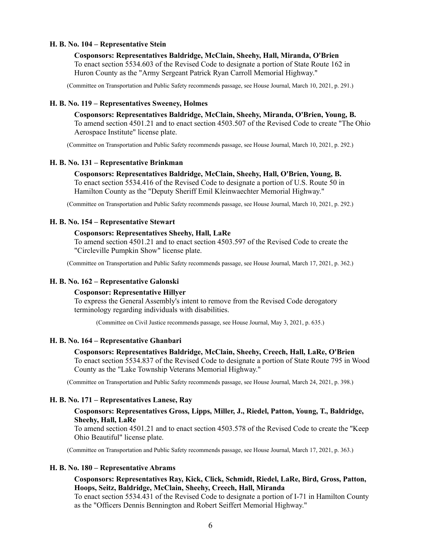### **H. B. No. 104 – Representative Stein**

**Cosponsors: Representatives Baldridge, McClain, Sheehy, Hall, Miranda, O'Brien** To enact section 5534.603 of the Revised Code to designate a portion of State Route 162 in Huron County as the "Army Sergeant Patrick Ryan Carroll Memorial Highway."

(Committee on Transportation and Public Safety recommends passage, see House Journal, March 10, 2021, p. 291.)

#### **H. B. No. 119 – Representatives Sweeney, Holmes**

**Cosponsors: Representatives Baldridge, McClain, Sheehy, Miranda, O'Brien, Young, B.** To amend section 4501.21 and to enact section 4503.507 of the Revised Code to create "The Ohio Aerospace Institute" license plate.

(Committee on Transportation and Public Safety recommends passage, see House Journal, March 10, 2021, p. 292.)

## **H. B. No. 131 – Representative Brinkman**

## **Cosponsors: Representatives Baldridge, McClain, Sheehy, Hall, O'Brien, Young, B.** To enact section 5534.416 of the Revised Code to designate a portion of U.S. Route 50 in Hamilton County as the "Deputy Sheriff Emil Kleinwaechter Memorial Highway."

(Committee on Transportation and Public Safety recommends passage, see House Journal, March 10, 2021, p. 292.)

#### **H. B. No. 154 – Representative Stewart**

#### **Cosponsors: Representatives Sheehy, Hall, LaRe**

To amend section 4501.21 and to enact section 4503.597 of the Revised Code to create the "Circleville Pumpkin Show" license plate.

(Committee on Transportation and Public Safety recommends passage, see House Journal, March 17, 2021, p. 362.)

## **H. B. No. 162 – Representative Galonski**

#### **Cosponsor: Representative Hillyer**

To express the General Assembly's intent to remove from the Revised Code derogatory terminology regarding individuals with disabilities.

(Committee on Civil Justice recommends passage, see House Journal, May 3, 2021, p. 635.)

## **H. B. No. 164 – Representative Ghanbari**

**Cosponsors: Representatives Baldridge, McClain, Sheehy, Creech, Hall, LaRe, O'Brien** To enact section 5534.837 of the Revised Code to designate a portion of State Route 795 in Wood County as the "Lake Township Veterans Memorial Highway."

(Committee on Transportation and Public Safety recommends passage, see House Journal, March 24, 2021, p. 398.)

#### **H. B. No. 171 – Representatives Lanese, Ray**

## **Cosponsors: Representatives Gross, Lipps, Miller, J., Riedel, Patton, Young, T., Baldridge, Sheehy, Hall, LaRe**

To amend section 4501.21 and to enact section 4503.578 of the Revised Code to create the "Keep Ohio Beautiful" license plate.

(Committee on Transportation and Public Safety recommends passage, see House Journal, March 17, 2021, p. 363.)

#### **H. B. No. 180 – Representative Abrams**

## **Cosponsors: Representatives Ray, Kick, Click, Schmidt, Riedel, LaRe, Bird, Gross, Patton, Hoops, Seitz, Baldridge, McClain, Sheehy, Creech, Hall, Miranda**

To enact section 5534.431 of the Revised Code to designate a portion of I-71 in Hamilton County as the "Officers Dennis Bennington and Robert Seiffert Memorial Highway."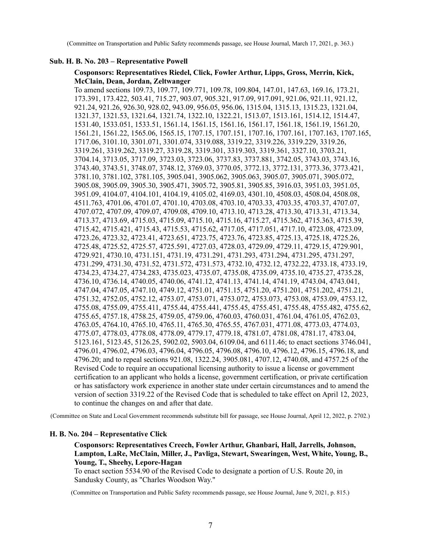(Committee on Transportation and Public Safety recommends passage, see House Journal, March 17, 2021, p. 363.)

## **Sub. H. B. No. 203 – Representative Powell**

## **Cosponsors: Representatives Riedel, Click, Fowler Arthur, Lipps, Gross, Merrin, Kick, McClain, Dean, Jordan, Zeltwanger**

To amend sections 109.73, 109.77, 109.771, 109.78, 109.804, 147.01, 147.63, 169.16, 173.21, 173.391, 173.422, 503.41, 715.27, 903.07, 905.321, 917.09, 917.091, 921.06, 921.11, 921.12, 921.24, 921.26, 926.30, 928.02, 943.09, 956.05, 956.06, 1315.04, 1315.13, 1315.23, 1321.04, 1321.37, 1321.53, 1321.64, 1321.74, 1322.10, 1322.21, 1513.07, 1513.161, 1514.12, 1514.47, 1531.40, 1533.051, 1533.51, 1561.14, 1561.15, 1561.16, 1561.17, 1561.18, 1561.19, 1561.20, 1561.21, 1561.22, 1565.06, 1565.15, 1707.15, 1707.151, 1707.16, 1707.161, 1707.163, 1707.165, 1717.06, 3101.10, 3301.071, 3301.074, 3319.088, 3319.22, 3319.226, 3319.229, 3319.26, 3319.261, 3319.262, 3319.27, 3319.28, 3319.301, 3319.303, 3319.361, 3327.10, 3703.21, 3704.14, 3713.05, 3717.09, 3723.03, 3723.06, 3737.83, 3737.881, 3742.05, 3743.03, 3743.16, 3743.40, 3743.51, 3748.07, 3748.12, 3769.03, 3770.05, 3772.13, 3772.131, 3773.36, 3773.421, 3781.10, 3781.102, 3781.105, 3905.041, 3905.062, 3905.063, 3905.07, 3905.071, 3905.072, 3905.08, 3905.09, 3905.30, 3905.471, 3905.72, 3905.81, 3905.85, 3916.03, 3951.03, 3951.05, 3951.09, 4104.07, 4104.101, 4104.19, 4105.02, 4169.03, 4301.10, 4508.03, 4508.04, 4508.08, 4511.763, 4701.06, 4701.07, 4701.10, 4703.08, 4703.10, 4703.33, 4703.35, 4703.37, 4707.07, 4707.072, 4707.09, 4709.07, 4709.08, 4709.10, 4713.10, 4713.28, 4713.30, 4713.31, 4713.34, 4713.37, 4713.69, 4715.03, 4715.09, 4715.10, 4715.16, 4715.27, 4715.362, 4715.363, 4715.39, 4715.42, 4715.421, 4715.43, 4715.53, 4715.62, 4717.05, 4717.051, 4717.10, 4723.08, 4723.09, 4723.26, 4723.32, 4723.41, 4723.651, 4723.75, 4723.76, 4723.85, 4725.13, 4725.18, 4725.26, 4725.48, 4725.52, 4725.57, 4725.591, 4727.03, 4728.03, 4729.09, 4729.11, 4729.15, 4729.901, 4729.921, 4730.10, 4731.151, 4731.19, 4731.291, 4731.293, 4731.294, 4731.295, 4731.297, 4731.299, 4731.30, 4731.52, 4731.572, 4731.573, 4732.10, 4732.12, 4732.22, 4733.18, 4733.19, 4734.23, 4734.27, 4734.283, 4735.023, 4735.07, 4735.08, 4735.09, 4735.10, 4735.27, 4735.28, 4736.10, 4736.14, 4740.05, 4740.06, 4741.12, 4741.13, 4741.14, 4741.19, 4743.04, 4743.041, 4747.04, 4747.05, 4747.10, 4749.12, 4751.01, 4751.15, 4751.20, 4751.201, 4751.202, 4751.21, 4751.32, 4752.05, 4752.12, 4753.07, 4753.071, 4753.072, 4753.073, 4753.08, 4753.09, 4753.12, 4755.08, 4755.09, 4755.411, 4755.44, 4755.441, 4755.45, 4755.451, 4755.48, 4755.482, 4755.62, 4755.65, 4757.18, 4758.25, 4759.05, 4759.06, 4760.03, 4760.031, 4761.04, 4761.05, 4762.03, 4763.05, 4764.10, 4765.10, 4765.11, 4765.30, 4765.55, 4767.031, 4771.08, 4773.03, 4774.03, 4775.07, 4778.03, 4778.08, 4778.09, 4779.17, 4779.18, 4781.07, 4781.08, 4781.17, 4783.04, 5123.161, 5123.45, 5126.25, 5902.02, 5903.04, 6109.04, and 6111.46; to enact sections 3746.041, 4796.01, 4796.02, 4796.03, 4796.04, 4796.05, 4796.08, 4796.10, 4796.12, 4796.15, 4796.18, and 4796.20; and to repeal sections 921.08, 1322.24, 3905.081, 4707.12, 4740.08, and 4757.25 of the Revised Code to require an occupational licensing authority to issue a license or government certification to an applicant who holds a license, government certification, or private certification or has satisfactory work experience in another state under certain circumstances and to amend the version of section 3319.22 of the Revised Code that is scheduled to take effect on April 12, 2023, to continue the changes on and after that date.

(Committee on State and Local Government recommends substitute bill for passage, see House Journal, April 12, 2022, p. 2702.)

## **H. B. No. 204 – Representative Click**

# **Cosponsors: Representatives Creech, Fowler Arthur, Ghanbari, Hall, Jarrells, Johnson, Lampton, LaRe, McClain, Miller, J., Pavliga, Stewart, Swearingen, West, White, Young, B., Young, T., Sheehy, Lepore-Hagan**

To enact section 5534.90 of the Revised Code to designate a portion of U.S. Route 20, in Sandusky County, as "Charles Woodson Way."

(Committee on Transportation and Public Safety recommends passage, see House Journal, June 9, 2021, p. 815.)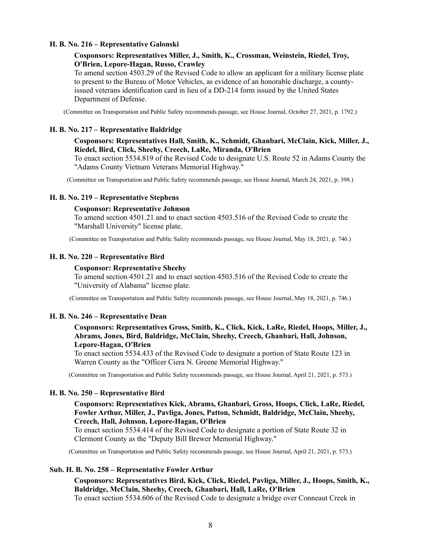## **H. B. No. 216 – Representative Galonski**

## **Cosponsors: Representatives Miller, J., Smith, K., Crossman, Weinstein, Riedel, Troy, O'Brien, Lepore-Hagan, Russo, Crawley**

To amend section 4503.29 of the Revised Code to allow an applicant for a military license plate to present to the Bureau of Motor Vehicles, as evidence of an honorable discharge, a countyissued veterans identification card in lieu of a DD-214 form issued by the United States Department of Defense.

(Committee on Transportation and Public Safety recommends passage, see House Journal, October 27, 2021, p. 1792.)

#### **H. B. No. 217 – Representative Baldridge**

## **Cosponsors: Representatives Hall, Smith, K., Schmidt, Ghanbari, McClain, Kick, Miller, J., Riedel, Bird, Click, Sheehy, Creech, LaRe, Miranda, O'Brien**

To enact section 5534.819 of the Revised Code to designate U.S. Route 52 in Adams County the "Adams County Vietnam Veterans Memorial Highway."

(Committee on Transportation and Public Safety recommends passage, see House Journal, March 24, 2021, p. 398.)

## **H. B. No. 219 – Representative Stephens**

#### **Cosponsor: Representative Johnson**

To amend section 4501.21 and to enact section 4503.516 of the Revised Code to create the "Marshall University" license plate.

(Committee on Transportation and Public Safety recommends passage, see House Journal, May 18, 2021, p. 746.)

#### **H. B. No. 220 – Representative Bird**

#### **Cosponsor: Representative Sheehy**

To amend section 4501.21 and to enact section 4503.516 of the Revised Code to create the "University of Alabama" license plate.

(Committee on Transportation and Public Safety recommends passage, see House Journal, May 18, 2021, p. 746.)

#### **H. B. No. 246 – Representative Dean**

## **Cosponsors: Representatives Gross, Smith, K., Click, Kick, LaRe, Riedel, Hoops, Miller, J., Abrams, Jones, Bird, Baldridge, McClain, Sheehy, Creech, Ghanbari, Hall, Johnson, Lepore-Hagan, O'Brien**

To enact section 5534.433 of the Revised Code to designate a portion of State Route 123 in Warren County as the "Officer Ciera N. Greene Memorial Highway."

(Committee on Transportation and Public Safety recommends passage, see House Journal, April 21, 2021, p. 573.)

#### **H. B. No. 250 – Representative Bird**

## **Cosponsors: Representatives Kick, Abrams, Ghanbari, Gross, Hoops, Click, LaRe, Riedel, Fowler Arthur, Miller, J., Pavliga, Jones, Patton, Schmidt, Baldridge, McClain, Sheehy, Creech, Hall, Johnson, Lepore-Hagan, O'Brien**

To enact section 5534.414 of the Revised Code to designate a portion of State Route 32 in Clermont County as the "Deputy Bill Brewer Memorial Highway."

(Committee on Transportation and Public Safety recommends passage, see House Journal, April 21, 2021, p. 573.)

#### **Sub. H. B. No. 258 – Representative Fowler Arthur**

**Cosponsors: Representatives Bird, Kick, Click, Riedel, Pavliga, Miller, J., Hoops, Smith, K., Baldridge, McClain, Sheehy, Creech, Ghanbari, Hall, LaRe, O'Brien**

To enact section 5534.606 of the Revised Code to designate a bridge over Conneaut Creek in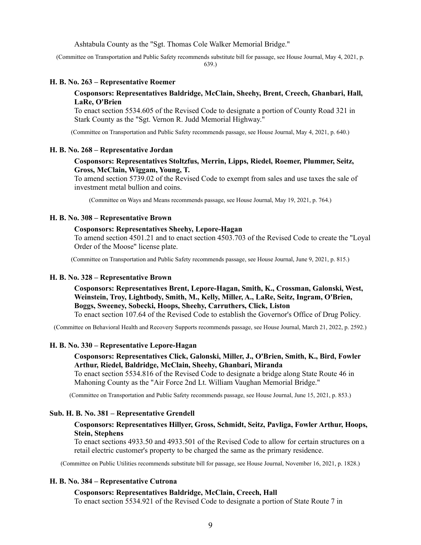Ashtabula County as the "Sgt. Thomas Cole Walker Memorial Bridge."

(Committee on Transportation and Public Safety recommends substitute bill for passage, see House Journal, May 4, 2021, p. 639.)

#### **H. B. No. 263 – Representative Roemer**

## **Cosponsors: Representatives Baldridge, McClain, Sheehy, Brent, Creech, Ghanbari, Hall, LaRe, O'Brien**

To enact section 5534.605 of the Revised Code to designate a portion of County Road 321 in Stark County as the "Sgt. Vernon R. Judd Memorial Highway."

(Committee on Transportation and Public Safety recommends passage, see House Journal, May 4, 2021, p. 640.)

#### **H. B. No. 268 – Representative Jordan**

## **Cosponsors: Representatives Stoltzfus, Merrin, Lipps, Riedel, Roemer, Plummer, Seitz, Gross, McClain, Wiggam, Young, T.**

To amend section 5739.02 of the Revised Code to exempt from sales and use taxes the sale of investment metal bullion and coins.

(Committee on Ways and Means recommends passage, see House Journal, May 19, 2021, p. 764.)

#### **H. B. No. 308 – Representative Brown**

#### **Cosponsors: Representatives Sheehy, Lepore-Hagan**

To amend section 4501.21 and to enact section 4503.703 of the Revised Code to create the "Loyal Order of the Moose" license plate.

(Committee on Transportation and Public Safety recommends passage, see House Journal, June 9, 2021, p. 815.)

#### **H. B. No. 328 – Representative Brown**

**Cosponsors: Representatives Brent, Lepore-Hagan, Smith, K., Crossman, Galonski, West, Weinstein, Troy, Lightbody, Smith, M., Kelly, Miller, A., LaRe, Seitz, Ingram, O'Brien, Boggs, Sweeney, Sobecki, Hoops, Sheehy, Carruthers, Click, Liston**

To enact section 107.64 of the Revised Code to establish the Governor's Office of Drug Policy.

(Committee on Behavioral Health and Recovery Supports recommends passage, see House Journal, March 21, 2022, p. 2592.)

#### **H. B. No. 330 – Representative Lepore-Hagan**

# **Cosponsors: Representatives Click, Galonski, Miller, J., O'Brien, Smith, K., Bird, Fowler Arthur, Riedel, Baldridge, McClain, Sheehy, Ghanbari, Miranda**

To enact section 5534.816 of the Revised Code to designate a bridge along State Route 46 in Mahoning County as the "Air Force 2nd Lt. William Vaughan Memorial Bridge."

(Committee on Transportation and Public Safety recommends passage, see House Journal, June 15, 2021, p. 853.)

#### **Sub. H. B. No. 381 – Representative Grendell**

## **Cosponsors: Representatives Hillyer, Gross, Schmidt, Seitz, Pavliga, Fowler Arthur, Hoops, Stein, Stephens**

To enact sections 4933.50 and 4933.501 of the Revised Code to allow for certain structures on a retail electric customer's property to be charged the same as the primary residence.

(Committee on Public Utilities recommends substitute bill for passage, see House Journal, November 16, 2021, p. 1828.)

# **H. B. No. 384 – Representative Cutrona**

#### **Cosponsors: Representatives Baldridge, McClain, Creech, Hall**

To enact section 5534.921 of the Revised Code to designate a portion of State Route 7 in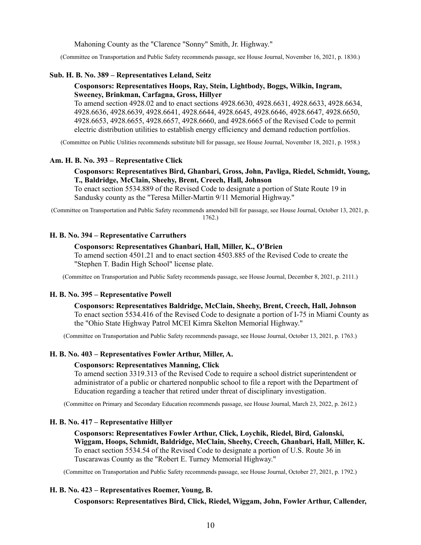Mahoning County as the "Clarence "Sonny" Smith, Jr. Highway."

(Committee on Transportation and Public Safety recommends passage, see House Journal, November 16, 2021, p. 1830.)

## **Sub. H. B. No. 389 – Representatives Leland, Seitz**

## **Cosponsors: Representatives Hoops, Ray, Stein, Lightbody, Boggs, Wilkin, Ingram, Sweeney, Brinkman, Carfagna, Gross, Hillyer**

To amend section 4928.02 and to enact sections 4928.6630, 4928.6631, 4928.6633, 4928.6634, 4928.6636, 4928.6639, 4928.6641, 4928.6644, 4928.6645, 4928.6646, 4928.6647, 4928.6650, 4928.6653, 4928.6655, 4928.6657, 4928.6660, and 4928.6665 of the Revised Code to permit electric distribution utilities to establish energy efficiency and demand reduction portfolios.

(Committee on Public Utilities recommends substitute bill for passage, see House Journal, November 18, 2021, p. 1958.)

#### **Am. H. B. No. 393 – Representative Click**

## **Cosponsors: Representatives Bird, Ghanbari, Gross, John, Pavliga, Riedel, Schmidt, Young, T., Baldridge, McClain, Sheehy, Brent, Creech, Hall, Johnson**

To enact section 5534.889 of the Revised Code to designate a portion of State Route 19 in Sandusky county as the "Teresa Miller-Martin 9/11 Memorial Highway."

(Committee on Transportation and Public Safety recommends amended bill for passage, see House Journal, October 13, 2021, p. 1762.)

## **H. B. No. 394 – Representative Carruthers**

### **Cosponsors: Representatives Ghanbari, Hall, Miller, K., O'Brien**

To amend section 4501.21 and to enact section 4503.885 of the Revised Code to create the "Stephen T. Badin High School" license plate.

(Committee on Transportation and Public Safety recommends passage, see House Journal, December 8, 2021, p. 2111.)

# **H. B. No. 395 – Representative Powell**

**Cosponsors: Representatives Baldridge, McClain, Sheehy, Brent, Creech, Hall, Johnson** To enact section 5534.416 of the Revised Code to designate a portion of I-75 in Miami County as the "Ohio State Highway Patrol MCEI Kimra Skelton Memorial Highway."

(Committee on Transportation and Public Safety recommends passage, see House Journal, October 13, 2021, p. 1763.)

#### **H. B. No. 403 – Representatives Fowler Arthur, Miller, A.**

#### **Cosponsors: Representatives Manning, Click**

To amend section 3319.313 of the Revised Code to require a school district superintendent or administrator of a public or chartered nonpublic school to file a report with the Department of Education regarding a teacher that retired under threat of disciplinary investigation.

(Committee on Primary and Secondary Education recommends passage, see House Journal, March 23, 2022, p. 2612.)

#### **H. B. No. 417 – Representative Hillyer**

**Cosponsors: Representatives Fowler Arthur, Click, Loychik, Riedel, Bird, Galonski, Wiggam, Hoops, Schmidt, Baldridge, McClain, Sheehy, Creech, Ghanbari, Hall, Miller, K.** To enact section 5534.54 of the Revised Code to designate a portion of U.S. Route 36 in Tuscarawas County as the "Robert E. Turney Memorial Highway."

(Committee on Transportation and Public Safety recommends passage, see House Journal, October 27, 2021, p. 1792.)

## **H. B. No. 423 – Representatives Roemer, Young, B.**

**Cosponsors: Representatives Bird, Click, Riedel, Wiggam, John, Fowler Arthur, Callender,**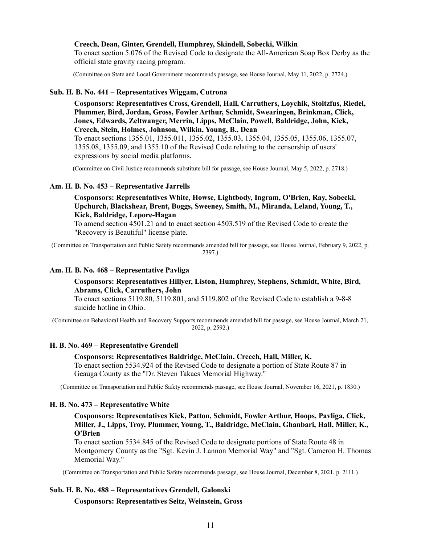#### **Creech, Dean, Ginter, Grendell, Humphrey, Skindell, Sobecki, Wilkin**

To enact section 5.076 of the Revised Code to designate the All-American Soap Box Derby as the official state gravity racing program.

(Committee on State and Local Government recommends passage, see House Journal, May 11, 2022, p. 2724.)

## **Sub. H. B. No. 441 – Representatives Wiggam, Cutrona**

**Cosponsors: Representatives Cross, Grendell, Hall, Carruthers, Loychik, Stoltzfus, Riedel, Plummer, Bird, Jordan, Gross, Fowler Arthur, Schmidt, Swearingen, Brinkman, Click, Jones, Edwards, Zeltwanger, Merrin, Lipps, McClain, Powell, Baldridge, John, Kick, Creech, Stein, Holmes, Johnson, Wilkin, Young, B., Dean**

To enact sections 1355.01, 1355.011, 1355.02, 1355.03, 1355.04, 1355.05, 1355.06, 1355.07, 1355.08, 1355.09, and 1355.10 of the Revised Code relating to the censorship of users' expressions by social media platforms.

(Committee on Civil Justice recommends substitute bill for passage, see House Journal, May 5, 2022, p. 2718.)

## **Am. H. B. No. 453 – Representative Jarrells**

**Cosponsors: Representatives White, Howse, Lightbody, Ingram, O'Brien, Ray, Sobecki, Upchurch, Blackshear, Brent, Boggs, Sweeney, Smith, M., Miranda, Leland, Young, T., Kick, Baldridge, Lepore-Hagan**

To amend section 4501.21 and to enact section 4503.519 of the Revised Code to create the "Recovery is Beautiful" license plate.

(Committee on Transportation and Public Safety recommends amended bill for passage, see House Journal, February 9, 2022, p. 2397.)

### **Am. H. B. No. 468 – Representative Pavliga**

## **Cosponsors: Representatives Hillyer, Liston, Humphrey, Stephens, Schmidt, White, Bird, Abrams, Click, Carruthers, John**

To enact sections 5119.80, 5119.801, and 5119.802 of the Revised Code to establish a 9-8-8 suicide hotline in Ohio.

(Committee on Behavioral Health and Recovery Supports recommends amended bill for passage, see House Journal, March 21, 2022, p. 2592.)

## **H. B. No. 469 – Representative Grendell**

# **Cosponsors: Representatives Baldridge, McClain, Creech, Hall, Miller, K.**

To enact section 5534.924 of the Revised Code to designate a portion of State Route 87 in Geauga County as the "Dr. Steven Takacs Memorial Highway."

(Committee on Transportation and Public Safety recommends passage, see House Journal, November 16, 2021, p. 1830.)

## **H. B. No. 473 – Representative White**

**Cosponsors: Representatives Kick, Patton, Schmidt, Fowler Arthur, Hoops, Pavliga, Click, Miller, J., Lipps, Troy, Plummer, Young, T., Baldridge, McClain, Ghanbari, Hall, Miller, K., O'Brien**

To enact section 5534.845 of the Revised Code to designate portions of State Route 48 in Montgomery County as the "Sgt. Kevin J. Lannon Memorial Way" and "Sgt. Cameron H. Thomas Memorial Way."

(Committee on Transportation and Public Safety recommends passage, see House Journal, December 8, 2021, p. 2111.)

## **Sub. H. B. No. 488 – Representatives Grendell, Galonski**

**Cosponsors: Representatives Seitz, Weinstein, Gross**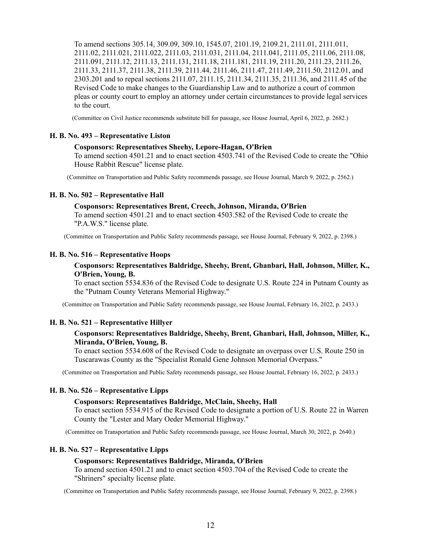To amend sections 305.14, 309.09, 309.10, 1545.07, 2101.19, 2109.21, 2111.01, 2111.011, 2111.02, 2111.021, 2111.022, 2111.03, 2111.031, 2111.04, 2111.041, 2111.05, 2111.06, 2111.08, 2111.091, 2111.12, 2111.13, 2111.131, 2111.18, 2111.181, 2111.19, 2111.20, 2111.23, 2111.26, 2111.33, 2111.37, 2111.38, 2111.39, 2111.44, 2111.46, 2111.47, 2111.49, 2111.50, 2112.01, and 2303.201 and to repeal sections 2111.07, 2111.15, 2111.34, 2111.35, 2111.36, and 2111.45 of the Revised Code to make changes to the Guardianship Law and to authorize a court of common pleas or county court to employ an attorney under certain circumstances to provide legal services to the court.

(Committee on Civil Justice recommends substitute bill for passage, see House Journal, April 6, 2022, p. 2682.)

#### **H. B. No. 493 – Representative Liston**

#### **Cosponsors: Representatives Sheehy, Lepore-Hagan, O'Brien**

To amend section 4501.21 and to enact section 4503.741 of the Revised Code to create the "Ohio House Rabbit Rescue" license plate.

(Committee on Transportation and Public Safety recommends passage, see House Journal, March 9, 2022, p. 2562.)

#### **H. B. No. 502 – Representative Hall**

#### **Cosponsors: Representatives Brent, Creech, Johnson, Miranda, O'Brien**

To amend section 4501.21 and to enact section 4503.582 of the Revised Code to create the "P.A.W.S." license plate.

(Committee on Transportation and Public Safety recommends passage, see House Journal, February 9, 2022, p. 2398.)

#### **H. B. No. 516 – Representative Hoops**

## **Cosponsors: Representatives Baldridge, Sheehy, Brent, Ghanbari, Hall, Johnson, Miller, K., O'Brien, Young, B.**

To enact section 5534.836 of the Revised Code to designate U.S. Route 224 in Putnam County as the "Putnam County Veterans Memorial Highway."

(Committee on Transportation and Public Safety recommends passage, see House Journal, February 16, 2022, p. 2433.)

## **H. B. No. 521 – Representative Hillyer**

# **Cosponsors: Representatives Baldridge, Sheehy, Brent, Ghanbari, Hall, Johnson, Miller, K., Miranda, O'Brien, Young, B.**

To enact section 5534.608 of the Revised Code to designate an overpass over U.S. Route 250 in Tuscarawas County as the "Specialist Ronald Gene Johnson Memorial Overpass."

(Committee on Transportation and Public Safety recommends passage, see House Journal, February 16, 2022, p. 2433.)

## **H. B. No. 526 – Representative Lipps**

## **Cosponsors: Representatives Baldridge, McClain, Sheehy, Hall**

To enact section 5534.915 of the Revised Code to designate a portion of U.S. Route 22 in Warren County the "Lester and Mary Oeder Memorial Highway."

(Committee on Transportation and Public Safety recommends passage, see House Journal, March 30, 2022, p. 2640.)

#### **H. B. No. 527 – Representative Lipps**

#### **Cosponsors: Representatives Baldridge, Miranda, O'Brien**

To amend section 4501.21 and to enact section 4503.704 of the Revised Code to create the "Shriners" specialty license plate.

(Committee on Transportation and Public Safety recommends passage, see House Journal, February 9, 2022, p. 2398.)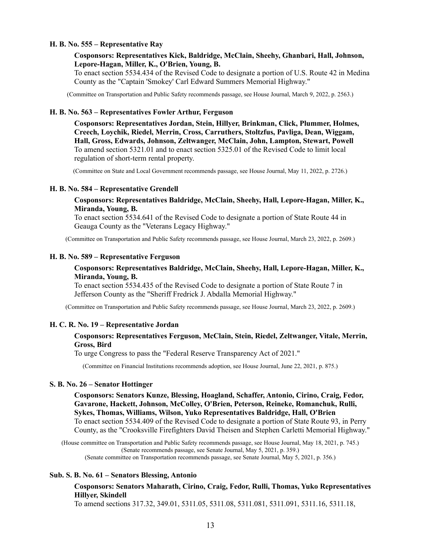#### **H. B. No. 555 – Representative Ray**

## **Cosponsors: Representatives Kick, Baldridge, McClain, Sheehy, Ghanbari, Hall, Johnson, Lepore-Hagan, Miller, K., O'Brien, Young, B.**

To enact section 5534.434 of the Revised Code to designate a portion of U.S. Route 42 in Medina County as the "Captain 'Smokey' Carl Edward Summers Memorial Highway."

(Committee on Transportation and Public Safety recommends passage, see House Journal, March 9, 2022, p. 2563.)

#### **H. B. No. 563 – Representatives Fowler Arthur, Ferguson**

**Cosponsors: Representatives Jordan, Stein, Hillyer, Brinkman, Click, Plummer, Holmes, Creech, Loychik, Riedel, Merrin, Cross, Carruthers, Stoltzfus, Pavliga, Dean, Wiggam, Hall, Gross, Edwards, Johnson, Zeltwanger, McClain, John, Lampton, Stewart, Powell** To amend section 5321.01 and to enact section 5325.01 of the Revised Code to limit local regulation of short-term rental property.

(Committee on State and Local Government recommends passage, see House Journal, May 11, 2022, p. 2726.)

#### **H. B. No. 584 – Representative Grendell**

## **Cosponsors: Representatives Baldridge, McClain, Sheehy, Hall, Lepore-Hagan, Miller, K., Miranda, Young, B.**

To enact section 5534.641 of the Revised Code to designate a portion of State Route 44 in Geauga County as the "Veterans Legacy Highway."

(Committee on Transportation and Public Safety recommends passage, see House Journal, March 23, 2022, p. 2609.)

#### **H. B. No. 589 – Representative Ferguson**

## **Cosponsors: Representatives Baldridge, McClain, Sheehy, Hall, Lepore-Hagan, Miller, K., Miranda, Young, B.**

To enact section 5534.435 of the Revised Code to designate a portion of State Route 7 in Jefferson County as the "Sheriff Fredrick J. Abdalla Memorial Highway."

(Committee on Transportation and Public Safety recommends passage, see House Journal, March 23, 2022, p. 2609.)

#### **H. C. R. No. 19 – Representative Jordan**

## **Cosponsors: Representatives Ferguson, McClain, Stein, Riedel, Zeltwanger, Vitale, Merrin, Gross, Bird**

To urge Congress to pass the "Federal Reserve Transparency Act of 2021."

(Committee on Financial Institutions recommends adoption, see House Journal, June 22, 2021, p. 875.)

## **S. B. No. 26 – Senator Hottinger**

**Cosponsors: Senators Kunze, Blessing, Hoagland, Schaffer, Antonio, Cirino, Craig, Fedor, Gavarone, Hackett, Johnson, McColley, O'Brien, Peterson, Reineke, Romanchuk, Rulli, Sykes, Thomas, Williams, Wilson, Yuko Representatives Baldridge, Hall, O'Brien** To enact section 5534.409 of the Revised Code to designate a portion of State Route 93, in Perry County, as the "Crooksville Firefighters David Theisen and Stephen Carletti Memorial Highway."

(House committee on Transportation and Public Safety recommends passage, see House Journal, May 18, 2021, p. 745.) (Senate recommends passage, see Senate Journal, May 5, 2021, p. 359.) (Senate committee on Transportation recommends passage, see Senate Journal, May 5, 2021, p. 356.)

## **Sub. S. B. No. 61 – Senators Blessing, Antonio**

## **Cosponsors: Senators Maharath, Cirino, Craig, Fedor, Rulli, Thomas, Yuko Representatives Hillyer, Skindell**

To amend sections 317.32, 349.01, 5311.05, 5311.08, 5311.081, 5311.091, 5311.16, 5311.18,